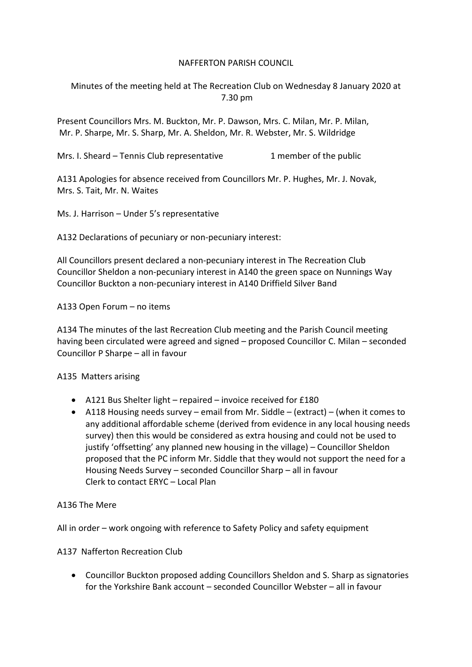# NAFFERTON PARISH COUNCIL

Minutes of the meeting held at The Recreation Club on Wednesday 8 January 2020 at 7.30 pm

Present Councillors Mrs. M. Buckton, Mr. P. Dawson, Mrs. C. Milan, Mr. P. Milan, Mr. P. Sharpe, Mr. S. Sharp, Mr. A. Sheldon, Mr. R. Webster, Mr. S. Wildridge

Mrs. I. Sheard – Tennis Club representative 1 member of the public

A131 Apologies for absence received from Councillors Mr. P. Hughes, Mr. J. Novak, Mrs. S. Tait, Mr. N. Waites

Ms. J. Harrison – Under 5's representative

A132 Declarations of pecuniary or non-pecuniary interest:

All Councillors present declared a non-pecuniary interest in The Recreation Club Councillor Sheldon a non-pecuniary interest in A140 the green space on Nunnings Way Councillor Buckton a non-pecuniary interest in A140 Driffield Silver Band

A133 Open Forum – no items

A134 The minutes of the last Recreation Club meeting and the Parish Council meeting having been circulated were agreed and signed – proposed Councillor C. Milan – seconded Councillor P Sharpe – all in favour

## A135 Matters arising

- A121 Bus Shelter light repaired invoice received for £180
- A118 Housing needs survey email from Mr. Siddle (extract) (when it comes to any additional affordable scheme (derived from evidence in any local housing needs survey) then this would be considered as extra housing and could not be used to justify 'offsetting' any planned new housing in the village) – Councillor Sheldon proposed that the PC inform Mr. Siddle that they would not support the need for a Housing Needs Survey – seconded Councillor Sharp – all in favour Clerk to contact ERYC – Local Plan

## A136 The Mere

All in order – work ongoing with reference to Safety Policy and safety equipment

A137 Nafferton Recreation Club

• Councillor Buckton proposed adding Councillors Sheldon and S. Sharp as signatories for the Yorkshire Bank account – seconded Councillor Webster – all in favour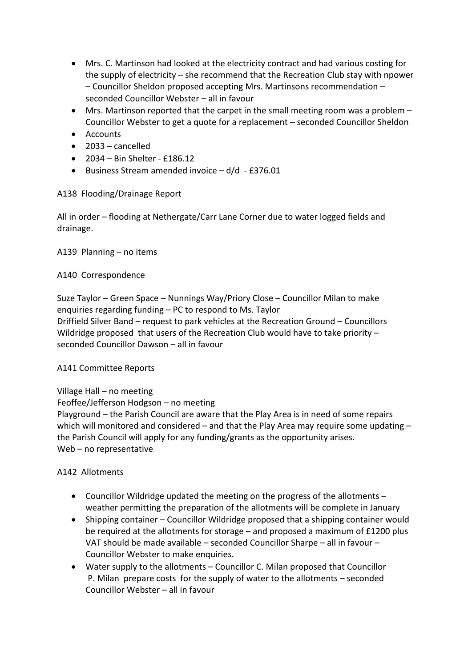- Mrs. C. Martinson had looked at the electricity contract and had various costing for the supply of electricity – she recommend that the Recreation Club stay with npower – Councillor Sheldon proposed accepting Mrs. Martinsons recommendation – seconded Councillor Webster – all in favour
- Mrs. Martinson reported that the carpet in the small meeting room was a problem Councillor Webster to get a quote for a replacement – seconded Councillor Sheldon
- Accounts
- $\bullet$  2033 cancelled
- 2034 Bin Shelter £186.12
- Business Stream amended invoice d/d £376.01

A138 Flooding/Drainage Report

All in order – flooding at Nethergate/Carr Lane Corner due to water logged fields and drainage.

A139 Planning – no items

# A140 Correspondence

Suze Taylor – Green Space – Nunnings Way/Priory Close – Councillor Milan to make enquiries regarding funding – PC to respond to Ms. Taylor Driffield Silver Band – request to park vehicles at the Recreation Ground – Councillors Wildridge proposed that users of the Recreation Club would have to take priority – seconded Councillor Dawson – all in favour

A141 Committee Reports

Village Hall – no meeting

Feoffee/Jefferson Hodgson – no meeting

Playground – the Parish Council are aware that the Play Area is in need of some repairs which will monitored and considered – and that the Play Area may require some updating – the Parish Council will apply for any funding/grants as the opportunity arises. Web – no representative

A142 Allotments

- Councillor Wildridge updated the meeting on the progress of the allotments weather permitting the preparation of the allotments will be complete in January
- Shipping container Councillor Wildridge proposed that a shipping container would be required at the allotments for storage – and proposed a maximum of £1200 plus VAT should be made available – seconded Councillor Sharpe – all in favour – Councillor Webster to make enquiries.
- Water supply to the allotments Councillor C. Milan proposed that Councillor P. Milan prepare costs for the supply of water to the allotments – seconded Councillor Webster – all in favour